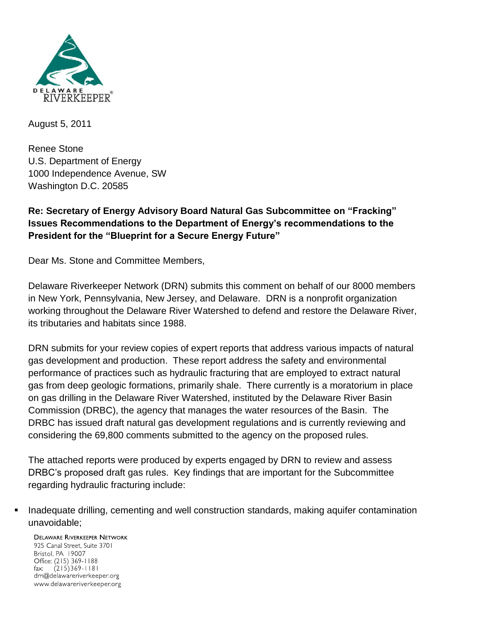

August 5, 2011

Renee Stone U.S. Department of Energy 1000 Independence Avenue, SW Washington D.C. 20585

**Re: Secretary of Energy Advisory Board Natural Gas Subcommittee on "Fracking" Issues Recommendations to the Department of Energy's recommendations to the President for the "Blueprint for a Secure Energy Future"**

Dear Ms. Stone and Committee Members,

Delaware Riverkeeper Network (DRN) submits this comment on behalf of our 8000 members in New York, Pennsylvania, New Jersey, and Delaware. DRN is a nonprofit organization working throughout the Delaware River Watershed to defend and restore the Delaware River, its tributaries and habitats since 1988.

DRN submits for your review copies of expert reports that address various impacts of natural gas development and production. These report address the safety and environmental performance of practices such as hydraulic fracturing that are employed to extract natural gas from deep geologic formations, primarily shale. There currently is a moratorium in place on gas drilling in the Delaware River Watershed, instituted by the Delaware River Basin Commission (DRBC), the agency that manages the water resources of the Basin. The DRBC has issued draft natural gas development regulations and is currently reviewing and considering the 69,800 comments submitted to the agency on the proposed rules.

The attached reports were produced by experts engaged by DRN to review and assess DRBC's proposed draft gas rules. Key findings that are important for the Subcommittee regarding hydraulic fracturing include:

 Inadequate drilling, cementing and well construction standards, making aquifer contamination unavoidable;

**DELAWARE RIVERKEEPER NETWORK** 925 Canal Street, Suite 3701 Bristol, PA 19007 Office: (215) 369-1188  $(215)369 - 1181$ fax: drn@delawareriverkeeper.org www.delawareriverkeeper.org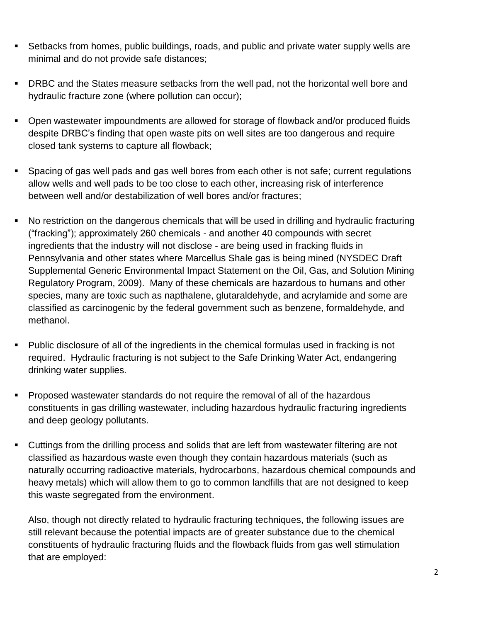- Setbacks from homes, public buildings, roads, and public and private water supply wells are minimal and do not provide safe distances;
- **DRBC** and the States measure setbacks from the well pad, not the horizontal well bore and hydraulic fracture zone (where pollution can occur);
- Open wastewater impoundments are allowed for storage of flowback and/or produced fluids despite DRBC's finding that open waste pits on well sites are too dangerous and require closed tank systems to capture all flowback;
- Spacing of gas well pads and gas well bores from each other is not safe; current regulations allow wells and well pads to be too close to each other, increasing risk of interference between well and/or destabilization of well bores and/or fractures;
- No restriction on the dangerous chemicals that will be used in drilling and hydraulic fracturing ("fracking"); approximately 260 chemicals - and another 40 compounds with secret ingredients that the industry will not disclose - are being used in fracking fluids in Pennsylvania and other states where Marcellus Shale gas is being mined (NYSDEC Draft Supplemental Generic Environmental Impact Statement on the Oil, Gas, and Solution Mining Regulatory Program, 2009). Many of these chemicals are hazardous to humans and other species, many are toxic such as napthalene, glutaraldehyde, and acrylamide and some are classified as carcinogenic by the federal government such as benzene, formaldehyde, and methanol.
- Public disclosure of all of the ingredients in the chemical formulas used in fracking is not required. Hydraulic fracturing is not subject to the Safe Drinking Water Act, endangering drinking water supplies.
- Proposed wastewater standards do not require the removal of all of the hazardous constituents in gas drilling wastewater, including hazardous hydraulic fracturing ingredients and deep geology pollutants.
- Cuttings from the drilling process and solids that are left from wastewater filtering are not classified as hazardous waste even though they contain hazardous materials (such as naturally occurring radioactive materials, hydrocarbons, hazardous chemical compounds and heavy metals) which will allow them to go to common landfills that are not designed to keep this waste segregated from the environment.

Also, though not directly related to hydraulic fracturing techniques, the following issues are still relevant because the potential impacts are of greater substance due to the chemical constituents of hydraulic fracturing fluids and the flowback fluids from gas well stimulation that are employed: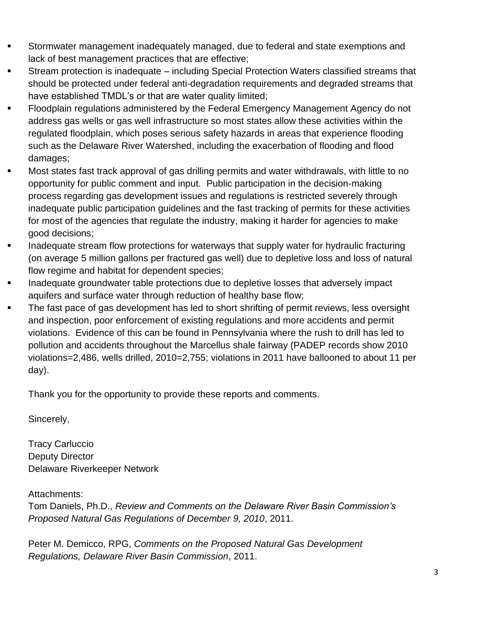- Stormwater management inadequately managed, due to federal and state exemptions and lack of best management practices that are effective;
- Stream protection is inadequate including Special Protection Waters classified streams that should be protected under federal anti-degradation requirements and degraded streams that have established TMDL's or that are water quality limited;
- Floodplain regulations administered by the Federal Emergency Management Agency do not address gas wells or gas well infrastructure so most states allow these activities within the regulated floodplain, which poses serious safety hazards in areas that experience flooding such as the Delaware River Watershed, including the exacerbation of flooding and flood damages;
- Most states fast track approval of gas drilling permits and water withdrawals, with little to no opportunity for public comment and input. Public participation in the decision-making process regarding gas development issues and regulations is restricted severely through inadequate public participation guidelines and the fast tracking of permits for these activities for most of the agencies that regulate the industry, making it harder for agencies to make good decisions;
- **Inadequate stream flow protections for waterways that supply water for hydraulic fracturing** (on average 5 million gallons per fractured gas well) due to depletive loss and loss of natural flow regime and habitat for dependent species;
- Inadequate groundwater table protections due to depletive losses that adversely impact aquifers and surface water through reduction of healthy base flow;
- The fast pace of gas development has led to short shrifting of permit reviews, less oversight and inspection, poor enforcement of existing regulations and more accidents and permit violations. Evidence of this can be found in Pennsylvania where the rush to drill has led to pollution and accidents throughout the Marcellus shale fairway (PADEP records show 2010 violations=2,486, wells drilled, 2010=2,755; violations in 2011 have ballooned to about 11 per day).

Thank you for the opportunity to provide these reports and comments.

Sincerely,

Tracy Carluccio Deputy Director Delaware Riverkeeper Network

Attachments:

Tom Daniels, Ph.D., *Review and Comments on the Delaware River Basin Commission's Proposed Natural Gas Regulations of December 9, 2010*, 2011.

Peter M. Demicco, RPG, *Comments on the Proposed Natural Gas Development Regulations, Delaware River Basin Commission*, 2011.